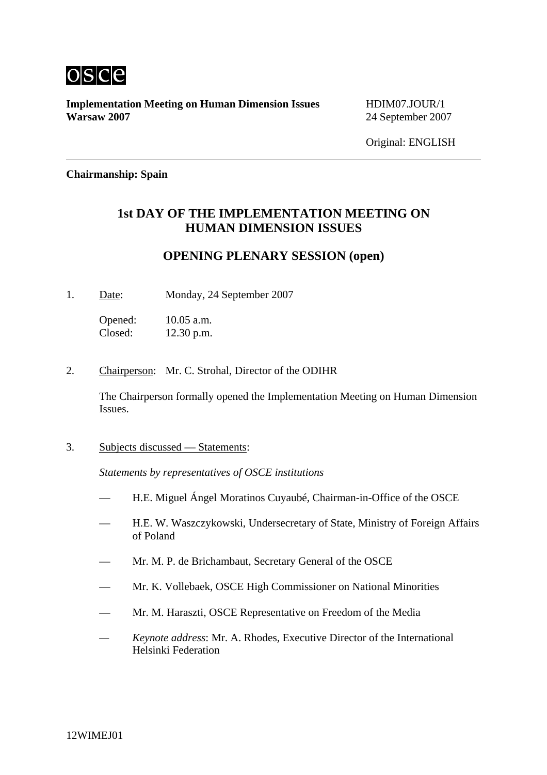

**Implementation Meeting on Human Dimension Issues** HDIM07.JOUR/1 **Warsaw 2007** 24 September 2007

Original: ENGLISH

#### **Chairmanship: Spain**

# **1st DAY OF THE IMPLEMENTATION MEETING ON HUMAN DIMENSION ISSUES**

### **OPENING PLENARY SESSION (open)**

1. Date: Monday, 24 September 2007

Opened: 10.05 a.m. Closed: 12.30 p.m.

2. Chairperson: Mr. C. Strohal, Director of the ODIHR

The Chairperson formally opened the Implementation Meeting on Human Dimension Issues.

3. Subjects discussed — Statements:

*Statements by representatives of OSCE institutions*

- H.E. Miguel Ángel Moratinos Cuyaubé, Chairman-in-Office of the OSCE
- H.E. W. Waszczykowski, Undersecretary of State, Ministry of Foreign Affairs of Poland
- Mr. M. P. de Brichambaut, Secretary General of the OSCE
- Mr. K. Vollebaek, OSCE High Commissioner on National Minorities
- Mr. M. Haraszti, OSCE Representative on Freedom of the Media
- *Keynote address*: Mr. A. Rhodes, Executive Director of the International Helsinki Federation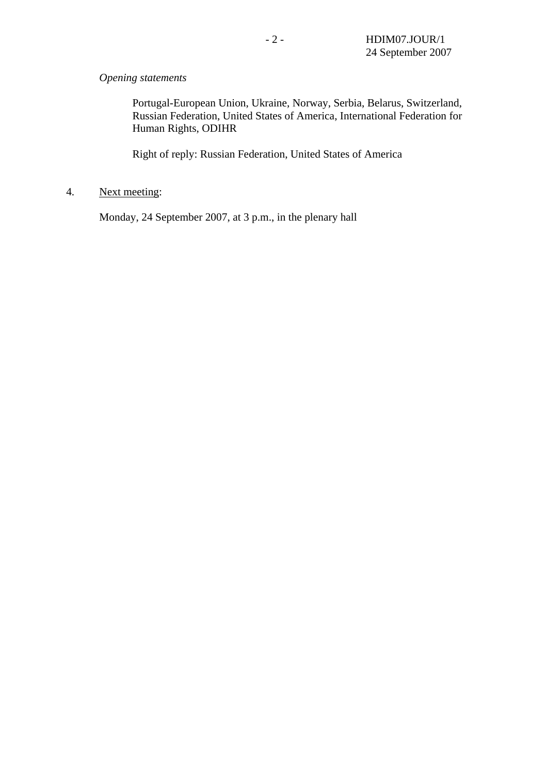### *Opening statements*

Portugal-European Union, Ukraine, Norway, Serbia, Belarus, Switzerland, Russian Federation, United States of America, International Federation for Human Rights, ODIHR

Right of reply: Russian Federation, United States of America

## 4. Next meeting:

Monday, 24 September 2007, at 3 p.m., in the plenary hall